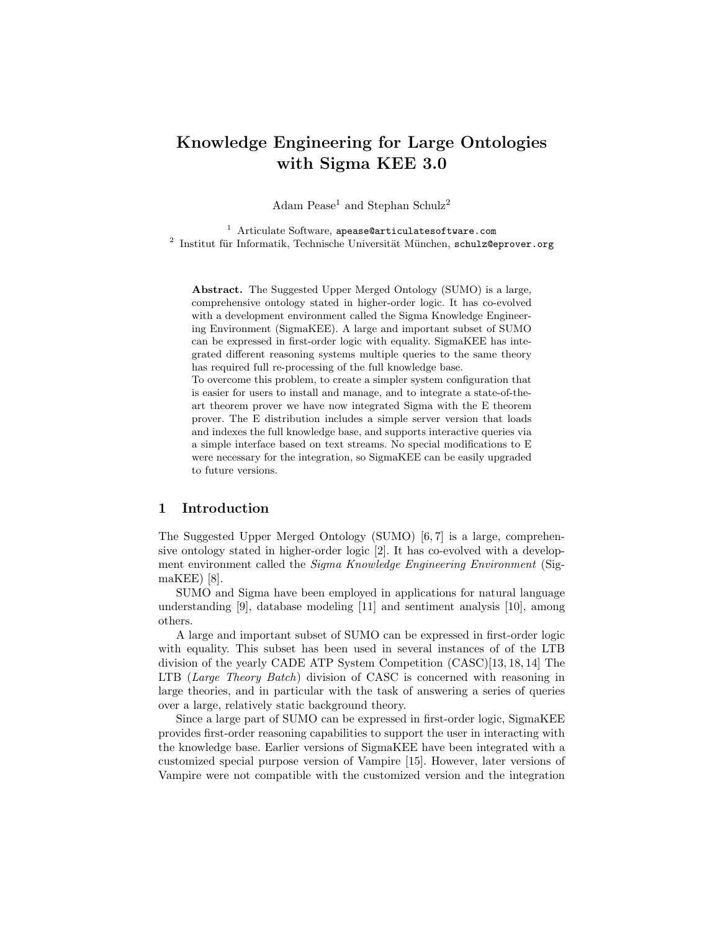# Knowledge Engineering for Large Ontologies with Sigma KEE 3.0

Adam Pease<sup>1</sup> and Stephan Schulz<sup>2</sup>

 $1$  Articulate Software, apease@articulatesoftware.com  $^{2}$  Institut für Informatik, Technische Universität München, schulz@eprover.org

Abstract. The Suggested Upper Merged Ontology (SUMO) is a large, comprehensive ontology stated in higher-order logic. It has co-evolved with a development environment called the Sigma Knowledge Engineering Environment (SigmaKEE). A large and important subset of SUMO can be expressed in first-order logic with equality. SigmaKEE has integrated different reasoning systems multiple queries to the same theory has required full re-processing of the full knowledge base.

To overcome this problem, to create a simpler system configuration that is easier for users to install and manage, and to integrate a state-of-theart theorem prover we have now integrated Sigma with the E theorem prover. The E distribution includes a simple server version that loads and indexes the full knowledge base, and supports interactive queries via a simple interface based on text streams. No special modifications to E were necessary for the integration, so SigmaKEE can be easily upgraded to future versions.

#### 1 Introduction

The Suggested Upper Merged Ontology (SUMO) [6, 7] is a large, comprehensive ontology stated in higher-order logic [2]. It has co-evolved with a development environment called the *Sigma Knowledge Engineering Environment* (SigmaKEE) [8].

SUMO and Sigma have been employed in applications for natural language understanding [9], database modeling [11] and sentiment analysis [10], among others.

A large and important subset of SUMO can be expressed in first-order logic with equality. This subset has been used in several instances of of the LTB division of the yearly CADE ATP System Competition (CASC)[13, 18, 14] The LTB (Large Theory Batch) division of CASC is concerned with reasoning in large theories, and in particular with the task of answering a series of queries over a large, relatively static background theory.

Since a large part of SUMO can be expressed in first-order logic, SigmaKEE provides first-order reasoning capabilities to support the user in interacting with the knowledge base. Earlier versions of SigmaKEE have been integrated with a customized special purpose version of Vampire [15]. However, later versions of Vampire were not compatible with the customized version and the integration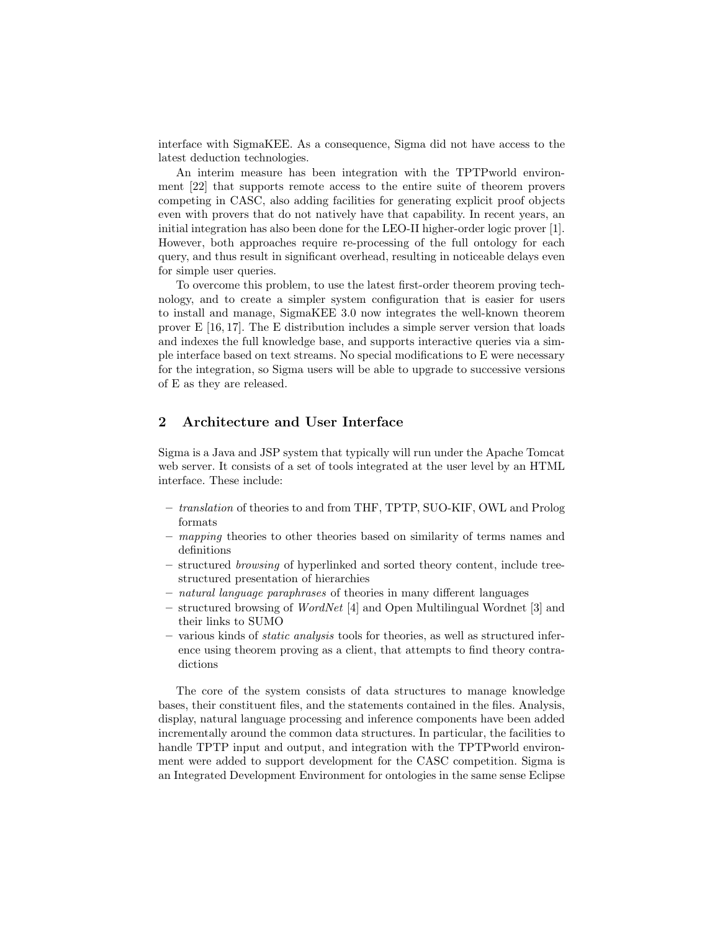interface with SigmaKEE. As a consequence, Sigma did not have access to the latest deduction technologies.

An interim measure has been integration with the TPTPworld environment [22] that supports remote access to the entire suite of theorem provers competing in CASC, also adding facilities for generating explicit proof objects even with provers that do not natively have that capability. In recent years, an initial integration has also been done for the LEO-II higher-order logic prover [1]. However, both approaches require re-processing of the full ontology for each query, and thus result in significant overhead, resulting in noticeable delays even for simple user queries.

To overcome this problem, to use the latest first-order theorem proving technology, and to create a simpler system configuration that is easier for users to install and manage, SigmaKEE 3.0 now integrates the well-known theorem prover E [16, 17]. The E distribution includes a simple server version that loads and indexes the full knowledge base, and supports interactive queries via a simple interface based on text streams. No special modifications to E were necessary for the integration, so Sigma users will be able to upgrade to successive versions of E as they are released.

## 2 Architecture and User Interface

Sigma is a Java and JSP system that typically will run under the Apache Tomcat web server. It consists of a set of tools integrated at the user level by an HTML interface. These include:

- translation of theories to and from THF, TPTP, SUO-KIF, OWL and Prolog formats
- mapping theories to other theories based on similarity of terms names and definitions
- structured browsing of hyperlinked and sorted theory content, include treestructured presentation of hierarchies
- natural language paraphrases of theories in many different languages
- structured browsing of WordNet [4] and Open Multilingual Wordnet [3] and their links to SUMO
- various kinds of static analysis tools for theories, as well as structured inference using theorem proving as a client, that attempts to find theory contradictions

The core of the system consists of data structures to manage knowledge bases, their constituent files, and the statements contained in the files. Analysis, display, natural language processing and inference components have been added incrementally around the common data structures. In particular, the facilities to handle TPTP input and output, and integration with the TPTPworld environment were added to support development for the CASC competition. Sigma is an Integrated Development Environment for ontologies in the same sense Eclipse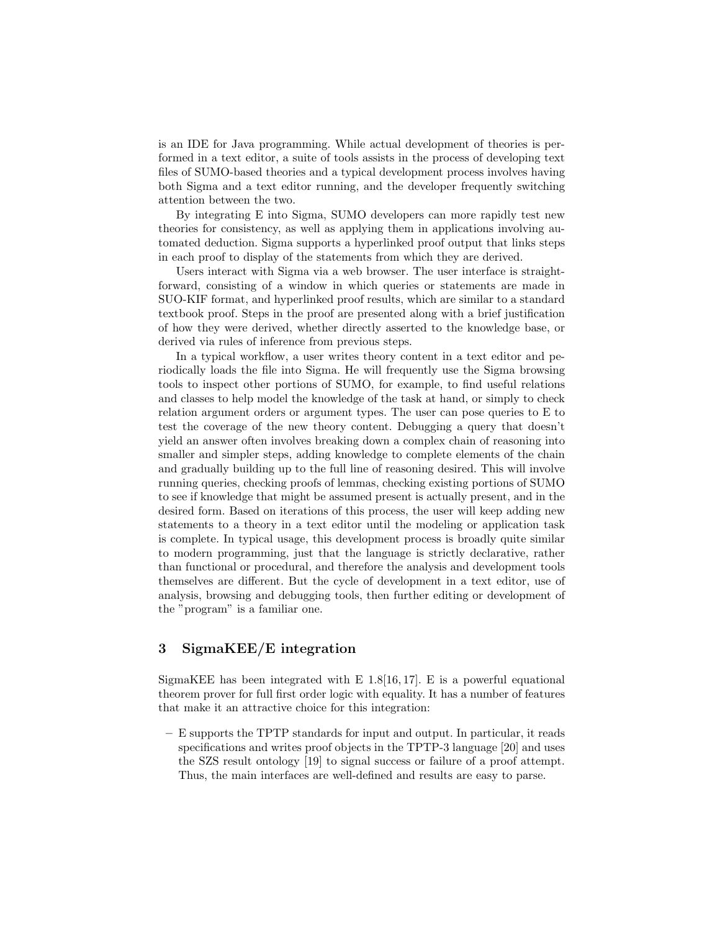is an IDE for Java programming. While actual development of theories is performed in a text editor, a suite of tools assists in the process of developing text files of SUMO-based theories and a typical development process involves having both Sigma and a text editor running, and the developer frequently switching attention between the two.

By integrating E into Sigma, SUMO developers can more rapidly test new theories for consistency, as well as applying them in applications involving automated deduction. Sigma supports a hyperlinked proof output that links steps in each proof to display of the statements from which they are derived.

Users interact with Sigma via a web browser. The user interface is straightforward, consisting of a window in which queries or statements are made in SUO-KIF format, and hyperlinked proof results, which are similar to a standard textbook proof. Steps in the proof are presented along with a brief justification of how they were derived, whether directly asserted to the knowledge base, or derived via rules of inference from previous steps.

In a typical workflow, a user writes theory content in a text editor and periodically loads the file into Sigma. He will frequently use the Sigma browsing tools to inspect other portions of SUMO, for example, to find useful relations and classes to help model the knowledge of the task at hand, or simply to check relation argument orders or argument types. The user can pose queries to E to test the coverage of the new theory content. Debugging a query that doesn't yield an answer often involves breaking down a complex chain of reasoning into smaller and simpler steps, adding knowledge to complete elements of the chain and gradually building up to the full line of reasoning desired. This will involve running queries, checking proofs of lemmas, checking existing portions of SUMO to see if knowledge that might be assumed present is actually present, and in the desired form. Based on iterations of this process, the user will keep adding new statements to a theory in a text editor until the modeling or application task is complete. In typical usage, this development process is broadly quite similar to modern programming, just that the language is strictly declarative, rather than functional or procedural, and therefore the analysis and development tools themselves are different. But the cycle of development in a text editor, use of analysis, browsing and debugging tools, then further editing or development of the "program" is a familiar one.

### 3 SigmaKEE/E integration

SigmaKEE has been integrated with  $E$  1.8[16, 17]. E is a powerful equational theorem prover for full first order logic with equality. It has a number of features that make it an attractive choice for this integration:

– E supports the TPTP standards for input and output. In particular, it reads specifications and writes proof objects in the TPTP-3 language [20] and uses the SZS result ontology [19] to signal success or failure of a proof attempt. Thus, the main interfaces are well-defined and results are easy to parse.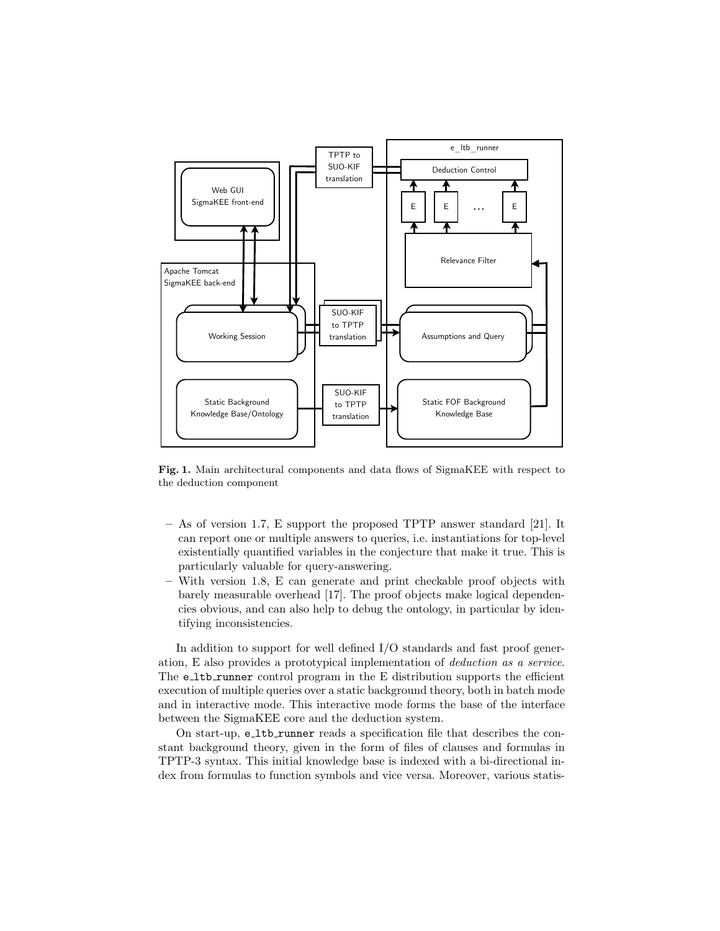

Fig. 1. Main architectural components and data flows of SigmaKEE with respect to the deduction component

- As of version 1.7, E support the proposed TPTP answer standard [21]. It can report one or multiple answers to queries, i.e. instantiations for top-level existentially quantified variables in the conjecture that make it true. This is particularly valuable for query-answering.
- With version 1.8, E can generate and print checkable proof objects with barely measurable overhead [17]. The proof objects make logical dependencies obvious, and can also help to debug the ontology, in particular by identifying inconsistencies.

In addition to support for well defined I/O standards and fast proof generation, E also provides a prototypical implementation of deduction as a service. The e\_1tb\_runner control program in the E distribution supports the efficient execution of multiple queries over a static background theory, both in batch mode and in interactive mode. This interactive mode forms the base of the interface between the SigmaKEE core and the deduction system.

On start-up, e\_1tb\_runner reads a specification file that describes the constant background theory, given in the form of files of clauses and formulas in TPTP-3 syntax. This initial knowledge base is indexed with a bi-directional index from formulas to function symbols and vice versa. Moreover, various statis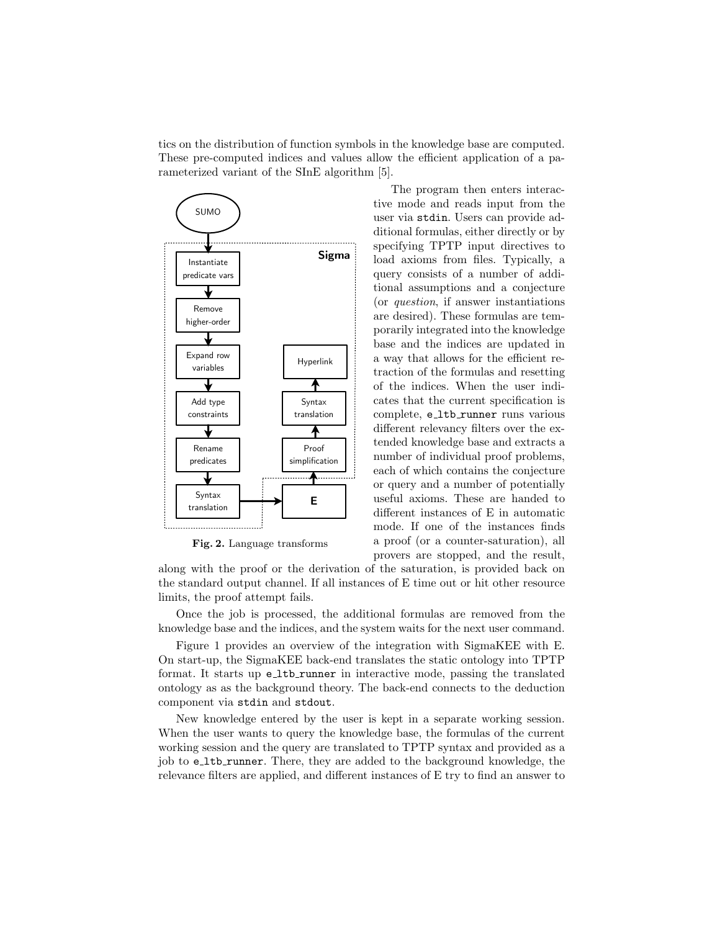tics on the distribution of function symbols in the knowledge base are computed. These pre-computed indices and values allow the efficient application of a parameterized variant of the SInE algorithm [5].



Fig. 2. Language transforms

The program then enters interactive mode and reads input from the user via stdin. Users can provide additional formulas, either directly or by specifying TPTP input directives to load axioms from files. Typically, a query consists of a number of additional assumptions and a conjecture (or question, if answer instantiations are desired). These formulas are temporarily integrated into the knowledge base and the indices are updated in a way that allows for the efficient retraction of the formulas and resetting of the indices. When the user indicates that the current specification is complete, e\_1tb\_runner runs various different relevancy filters over the extended knowledge base and extracts a number of individual proof problems, each of which contains the conjecture or query and a number of potentially useful axioms. These are handed to different instances of E in automatic mode. If one of the instances finds a proof (or a counter-saturation), all provers are stopped, and the result,

along with the proof or the derivation of the saturation, is provided back on the standard output channel. If all instances of E time out or hit other resource limits, the proof attempt fails.

Once the job is processed, the additional formulas are removed from the knowledge base and the indices, and the system waits for the next user command.

Figure 1 provides an overview of the integration with SigmaKEE with E. On start-up, the SigmaKEE back-end translates the static ontology into TPTP format. It starts up e\_ltb\_runner in interactive mode, passing the translated ontology as as the background theory. The back-end connects to the deduction component via stdin and stdout.

New knowledge entered by the user is kept in a separate working session. When the user wants to query the knowledge base, the formulas of the current working session and the query are translated to TPTP syntax and provided as a job to e\_1tb\_runner. There, they are added to the background knowledge, the relevance filters are applied, and different instances of E try to find an answer to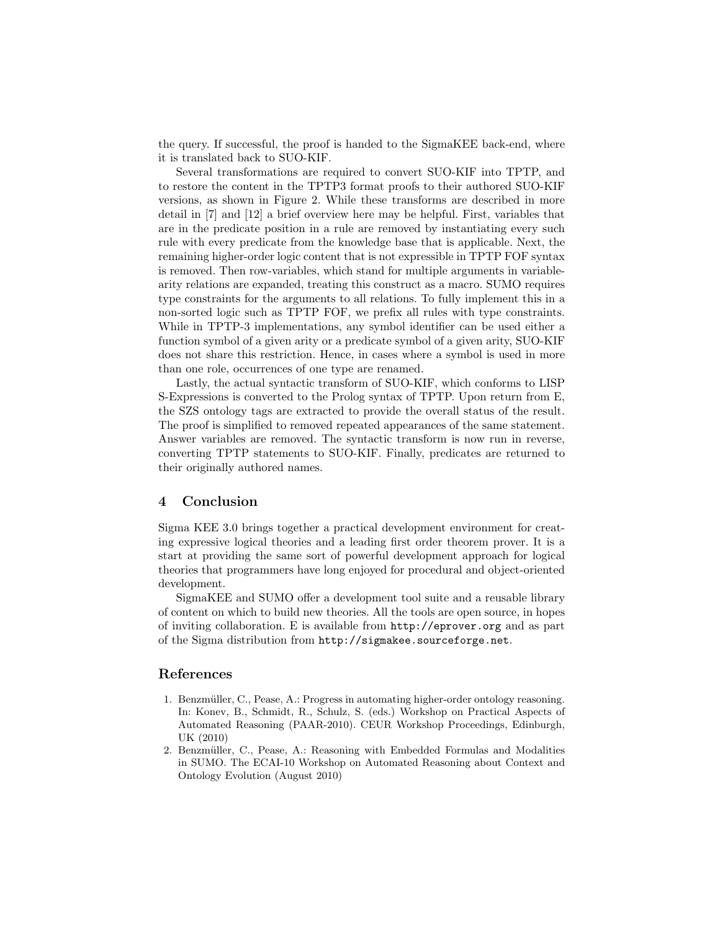the query. If successful, the proof is handed to the SigmaKEE back-end, where it is translated back to SUO-KIF.

Several transformations are required to convert SUO-KIF into TPTP, and to restore the content in the TPTP3 format proofs to their authored SUO-KIF versions, as shown in Figure 2. While these transforms are described in more detail in [7] and [12] a brief overview here may be helpful. First, variables that are in the predicate position in a rule are removed by instantiating every such rule with every predicate from the knowledge base that is applicable. Next, the remaining higher-order logic content that is not expressible in TPTP FOF syntax is removed. Then row-variables, which stand for multiple arguments in variablearity relations are expanded, treating this construct as a macro. SUMO requires type constraints for the arguments to all relations. To fully implement this in a non-sorted logic such as TPTP FOF, we prefix all rules with type constraints. While in TPTP-3 implementations, any symbol identifier can be used either a function symbol of a given arity or a predicate symbol of a given arity, SUO-KIF does not share this restriction. Hence, in cases where a symbol is used in more than one role, occurrences of one type are renamed.

Lastly, the actual syntactic transform of SUO-KIF, which conforms to LISP S-Expressions is converted to the Prolog syntax of TPTP. Upon return from E, the SZS ontology tags are extracted to provide the overall status of the result. The proof is simplified to removed repeated appearances of the same statement. Answer variables are removed. The syntactic transform is now run in reverse, converting TPTP statements to SUO-KIF. Finally, predicates are returned to their originally authored names.

### 4 Conclusion

Sigma KEE 3.0 brings together a practical development environment for creating expressive logical theories and a leading first order theorem prover. It is a start at providing the same sort of powerful development approach for logical theories that programmers have long enjoyed for procedural and object-oriented development.

SigmaKEE and SUMO offer a development tool suite and a reusable library of content on which to build new theories. All the tools are open source, in hopes of inviting collaboration. E is available from http://eprover.org and as part of the Sigma distribution from http://sigmakee.sourceforge.net.

### References

- 1. Benzmüller, C., Pease, A.: Progress in automating higher-order ontology reasoning. In: Konev, B., Schmidt, R., Schulz, S. (eds.) Workshop on Practical Aspects of Automated Reasoning (PAAR-2010). CEUR Workshop Proceedings, Edinburgh, UK (2010)
- 2. Benzmüller, C., Pease, A.: Reasoning with Embedded Formulas and Modalities in SUMO. The ECAI-10 Workshop on Automated Reasoning about Context and Ontology Evolution (August 2010)